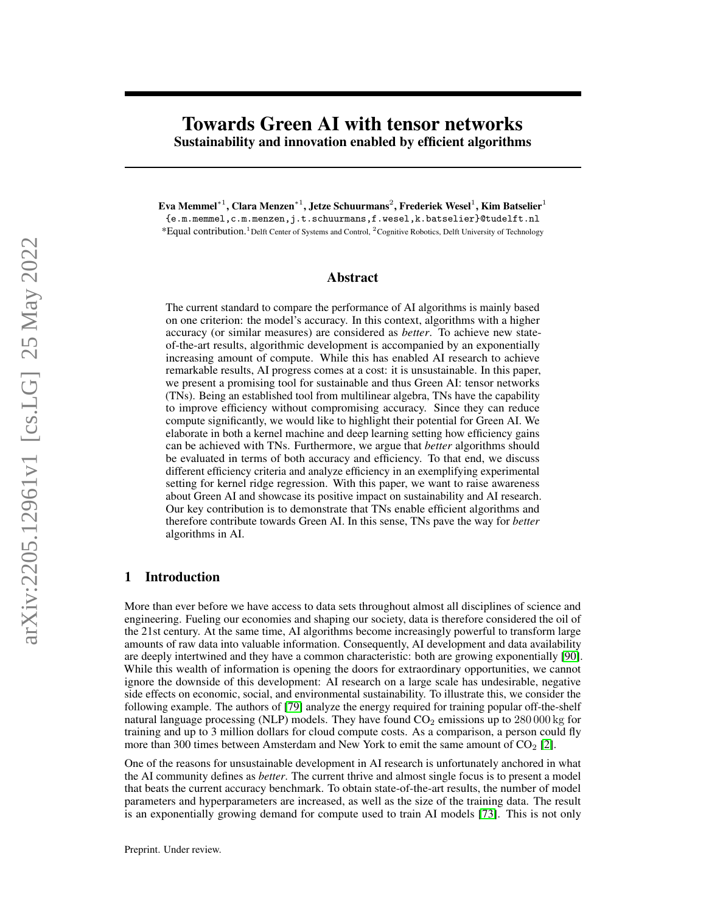# Towards Green AI with tensor networks Sustainability and innovation enabled by efficient algorithms

Eva Memmel $^{\ast1}$ , Clara Menzen $^{\ast1}$ , Jetze Schuurmans $^2$ , Frederiek Wesel $^1$ , Kim Batselier $^1$ 

{e.m.memmel,c.m.menzen,j.t.schuurmans,f.wesel,k.batselier}@tudelft.nl \*Equal contribution.<sup>1</sup>Delft Center of Systems and Control, <sup>2</sup>Cognitive Robotics, Delft University of Technology

### Abstract

The current standard to compare the performance of AI algorithms is mainly based on one criterion: the model's accuracy. In this context, algorithms with a higher accuracy (or similar measures) are considered as *better*. To achieve new stateof-the-art results, algorithmic development is accompanied by an exponentially increasing amount of compute. While this has enabled AI research to achieve remarkable results, AI progress comes at a cost: it is unsustainable. In this paper, we present a promising tool for sustainable and thus Green AI: tensor networks (TNs). Being an established tool from multilinear algebra, TNs have the capability to improve efficiency without compromising accuracy. Since they can reduce compute significantly, we would like to highlight their potential for Green AI. We elaborate in both a kernel machine and deep learning setting how efficiency gains can be achieved with TNs. Furthermore, we argue that *better* algorithms should be evaluated in terms of both accuracy and efficiency. To that end, we discuss different efficiency criteria and analyze efficiency in an exemplifying experimental setting for kernel ridge regression. With this paper, we want to raise awareness about Green AI and showcase its positive impact on sustainability and AI research. Our key contribution is to demonstrate that TNs enable efficient algorithms and therefore contribute towards Green AI. In this sense, TNs pave the way for *better* algorithms in AI.

## 1 Introduction

More than ever before we have access to data sets throughout almost all disciplines of science and engineering. Fueling our economies and shaping our society, data is therefore considered the oil of the 21st century. At the same time, AI algorithms become increasingly powerful to transform large amounts of raw data into valuable information. Consequently, AI development and data availability are deeply intertwined and they have a common characteristic: both are growing exponentially [\[90\]](#page-13-0). While this wealth of information is opening the doors for extraordinary opportunities, we cannot ignore the downside of this development: AI research on a large scale has undesirable, negative side effects on economic, social, and environmental sustainability. To illustrate this, we consider the following example. The authors of [\[79\]](#page-13-1) analyze the energy required for training popular off-the-shelf natural language processing (NLP) models. They have found  $CO<sub>2</sub>$  emissions up to 280 000 kg for training and up to 3 million dollars for cloud compute costs. As a comparison, a person could fly more than 300 times between Amsterdam and New York to emit the same amount of  $CO<sub>2</sub>$  [\[2\]](#page-9-0).

One of the reasons for unsustainable development in AI research is unfortunately anchored in what the AI community defines as *better*. The current thrive and almost single focus is to present a model that beats the current accuracy benchmark. To obtain state-of-the-art results, the number of model parameters and hyperparameters are increased, as well as the size of the training data. The result is an exponentially growing demand for compute used to train AI models [\[73\]](#page-12-0). This is not only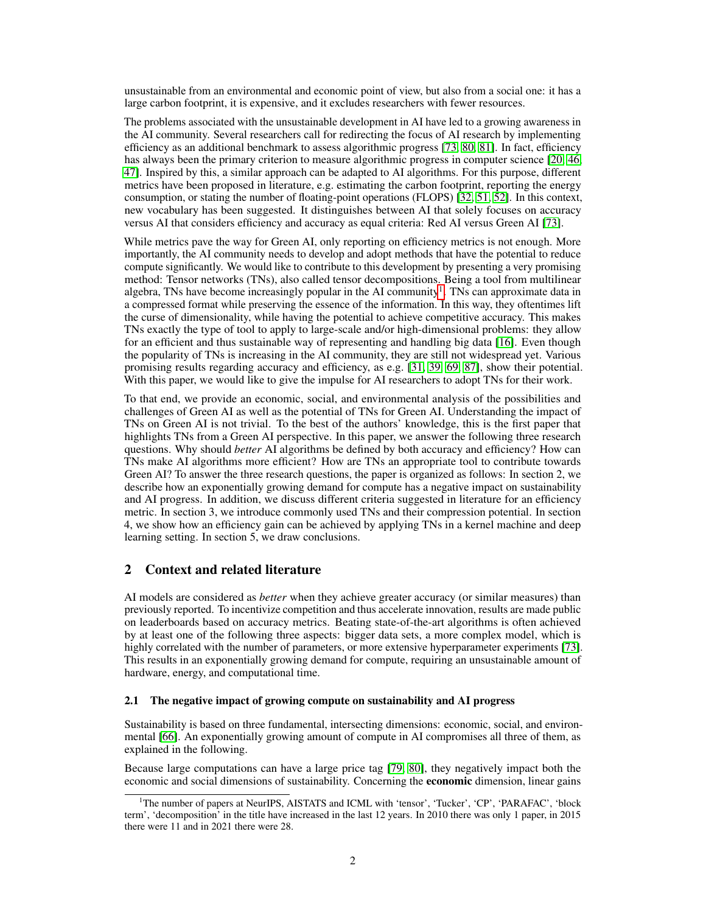unsustainable from an environmental and economic point of view, but also from a social one: it has a large carbon footprint, it is expensive, and it excludes researchers with fewer resources.

The problems associated with the unsustainable development in AI have led to a growing awareness in the AI community. Several researchers call for redirecting the focus of AI research by implementing efficiency as an additional benchmark to assess algorithmic progress [\[73,](#page-12-0) [80,](#page-13-2) [81\]](#page-13-3). In fact, efficiency has always been the primary criterion to measure algorithmic progress in computer science [\[20,](#page-10-0) [46,](#page-11-0) [47\]](#page-11-1). Inspired by this, a similar approach can be adapted to AI algorithms. For this purpose, different metrics have been proposed in literature, e.g. estimating the carbon footprint, reporting the energy consumption, or stating the number of floating-point operations (FLOPS) [\[32,](#page-10-1) [51,](#page-11-2) [52\]](#page-11-3). In this context, new vocabulary has been suggested. It distinguishes between AI that solely focuses on accuracy versus AI that considers efficiency and accuracy as equal criteria: Red AI versus Green AI [\[73\]](#page-12-0).

While metrics pave the way for Green AI, only reporting on efficiency metrics is not enough. More importantly, the AI community needs to develop and adopt methods that have the potential to reduce compute significantly. We would like to contribute to this development by presenting a very promising method: Tensor networks (TNs), also called tensor decompositions. Being a tool from multilinear algebra, TNs have become increasingly popular in the AI community<sup>[1](#page-1-0)</sup>. TNs can approximate data in a compressed format while preserving the essence of the information. In this way, they oftentimes lift the curse of dimensionality, while having the potential to achieve competitive accuracy. This makes TNs exactly the type of tool to apply to large-scale and/or high-dimensional problems: they allow for an efficient and thus sustainable way of representing and handling big data [\[16\]](#page-9-1). Even though the popularity of TNs is increasing in the AI community, they are still not widespread yet. Various promising results regarding accuracy and efficiency, as e.g. [\[31,](#page-10-2) [39,](#page-11-4) [69,](#page-12-1) [87\]](#page-13-4), show their potential. With this paper, we would like to give the impulse for AI researchers to adopt TNs for their work.

To that end, we provide an economic, social, and environmental analysis of the possibilities and challenges of Green AI as well as the potential of TNs for Green AI. Understanding the impact of TNs on Green AI is not trivial. To the best of the authors' knowledge, this is the first paper that highlights TNs from a Green AI perspective. In this paper, we answer the following three research questions. Why should *better* AI algorithms be defined by both accuracy and efficiency? How can TNs make AI algorithms more efficient? How are TNs an appropriate tool to contribute towards Green AI? To answer the three research questions, the paper is organized as follows: In section 2, we describe how an exponentially growing demand for compute has a negative impact on sustainability and AI progress. In addition, we discuss different criteria suggested in literature for an efficiency metric. In section 3, we introduce commonly used TNs and their compression potential. In section 4, we show how an efficiency gain can be achieved by applying TNs in a kernel machine and deep learning setting. In section 5, we draw conclusions.

# 2 Context and related literature

AI models are considered as *better* when they achieve greater accuracy (or similar measures) than previously reported. To incentivize competition and thus accelerate innovation, results are made public on leaderboards based on accuracy metrics. Beating state-of-the-art algorithms is often achieved by at least one of the following three aspects: bigger data sets, a more complex model, which is highly correlated with the number of parameters, or more extensive hyperparameter experiments [\[73\]](#page-12-0). This results in an exponentially growing demand for compute, requiring an unsustainable amount of hardware, energy, and computational time.

### 2.1 The negative impact of growing compute on sustainability and AI progress

Sustainability is based on three fundamental, intersecting dimensions: economic, social, and environmental [\[66\]](#page-12-2). An exponentially growing amount of compute in AI compromises all three of them, as explained in the following.

Because large computations can have a large price tag [\[79,](#page-13-1) [80\]](#page-13-2), they negatively impact both the economic and social dimensions of sustainability. Concerning the economic dimension, linear gains

<span id="page-1-0"></span><sup>&</sup>lt;sup>1</sup>The number of papers at NeurIPS, AISTATS and ICML with 'tensor', 'Tucker', 'CP', 'PARAFAC', 'block term', 'decomposition' in the title have increased in the last 12 years. In 2010 there was only 1 paper, in 2015 there were 11 and in 2021 there were 28.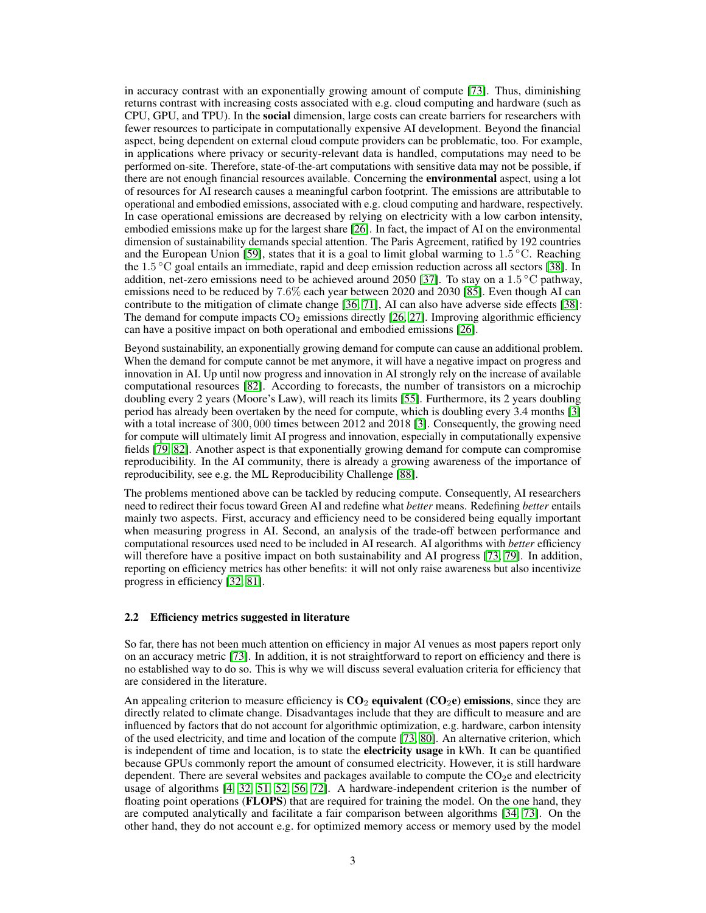in accuracy contrast with an exponentially growing amount of compute [\[73\]](#page-12-0). Thus, diminishing returns contrast with increasing costs associated with e.g. cloud computing and hardware (such as CPU, GPU, and TPU). In the social dimension, large costs can create barriers for researchers with fewer resources to participate in computationally expensive AI development. Beyond the financial aspect, being dependent on external cloud compute providers can be problematic, too. For example, in applications where privacy or security-relevant data is handled, computations may need to be performed on-site. Therefore, state-of-the-art computations with sensitive data may not be possible, if there are not enough financial resources available. Concerning the **environmental** aspect, using a lot of resources for AI research causes a meaningful carbon footprint. The emissions are attributable to operational and embodied emissions, associated with e.g. cloud computing and hardware, respectively. In case operational emissions are decreased by relying on electricity with a low carbon intensity, embodied emissions make up for the largest share [\[26\]](#page-10-3). In fact, the impact of AI on the environmental dimension of sustainability demands special attention. The Paris Agreement, ratified by 192 countries and the European Union [\[59\]](#page-12-3), states that it is a goal to limit global warming to  $1.5^{\circ}$ C. Reaching the 1.5 ◦C goal entails an immediate, rapid and deep emission reduction across all sectors [\[38\]](#page-11-5). In addition, net-zero emissions need to be achieved around 2050 [\[37\]](#page-11-6). To stay on a 1.5 °C pathway, emissions need to be reduced by 7.6% each year between 2020 and 2030 [\[85\]](#page-13-5). Even though AI can contribute to the mitigation of climate change [\[36,](#page-11-7) [71\]](#page-12-4), AI can also have adverse side effects [\[38\]](#page-11-5): The demand for compute impacts  $CO_2$  emissions directly [\[26,](#page-10-3) [27\]](#page-10-4). Improving algorithmic efficiency can have a positive impact on both operational and embodied emissions [\[26\]](#page-10-3).

Beyond sustainability, an exponentially growing demand for compute can cause an additional problem. When the demand for compute cannot be met anymore, it will have a negative impact on progress and innovation in AI. Up until now progress and innovation in AI strongly rely on the increase of available computational resources [\[82\]](#page-13-6). According to forecasts, the number of transistors on a microchip doubling every 2 years (Moore's Law), will reach its limits [\[55\]](#page-11-8). Furthermore, its 2 years doubling period has already been overtaken by the need for compute, which is doubling every 3.4 months [\[3\]](#page-9-2) with a total increase of 300, 000 times between 2012 and 2018 [\[3\]](#page-9-2). Consequently, the growing need for compute will ultimately limit AI progress and innovation, especially in computationally expensive fields [\[79,](#page-13-1) [82\]](#page-13-6). Another aspect is that exponentially growing demand for compute can compromise reproducibility. In the AI community, there is already a growing awareness of the importance of reproducibility, see e.g. the ML Reproducibility Challenge [\[88\]](#page-13-7).

The problems mentioned above can be tackled by reducing compute. Consequently, AI researchers need to redirect their focus toward Green AI and redefine what *better* means. Redefining *better* entails mainly two aspects. First, accuracy and efficiency need to be considered being equally important when measuring progress in AI. Second, an analysis of the trade-off between performance and computational resources used need to be included in AI research. AI algorithms with *better* efficiency will therefore have a positive impact on both sustainability and AI progress [\[73,](#page-12-0) [79\]](#page-13-1). In addition, reporting on efficiency metrics has other benefits: it will not only raise awareness but also incentivize progress in efficiency [\[32,](#page-10-1) [81\]](#page-13-3).

#### 2.2 Efficiency metrics suggested in literature

So far, there has not been much attention on efficiency in major AI venues as most papers report only on an accuracy metric [\[73\]](#page-12-0). In addition, it is not straightforward to report on efficiency and there is no established way to do so. This is why we will discuss several evaluation criteria for efficiency that are considered in the literature.

An appealing criterion to measure efficiency is  $CO<sub>2</sub>$  equivalent ( $CO<sub>2</sub>e$ ) emissions, since they are directly related to climate change. Disadvantages include that they are difficult to measure and are influenced by factors that do not account for algorithmic optimization, e.g. hardware, carbon intensity of the used electricity, and time and location of the compute [\[73,](#page-12-0) [80\]](#page-13-2). An alternative criterion, which is independent of time and location, is to state the **electricity usage** in kWh. It can be quantified because GPUs commonly report the amount of consumed electricity. However, it is still hardware dependent. There are several websites and packages available to compute the  $CO<sub>2</sub>e$  and electricity usage of algorithms [\[4,](#page-9-3) [32,](#page-10-1) [51,](#page-11-2) [52,](#page-11-3) [56,](#page-11-9) [72\]](#page-12-5). A hardware-independent criterion is the number of floating point operations (**FLOPS**) that are required for training the model. On the one hand, they are computed analytically and facilitate a fair comparison between algorithms [\[34,](#page-10-5) [73\]](#page-12-0). On the other hand, they do not account e.g. for optimized memory access or memory used by the model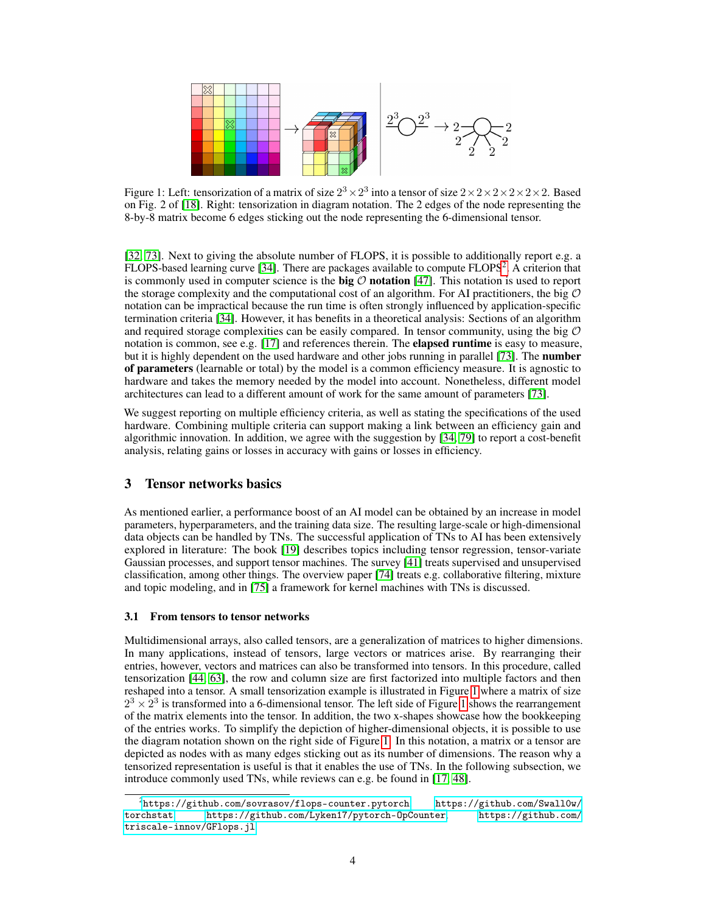<span id="page-3-1"></span>

Figure 1: Left: tensorization of a matrix of size  $2^3 \times 2^3$  into a tensor of size  $2 \times 2 \times 2 \times 2 \times 2 \times 2$ . Based on Fig. 2 of [\[18\]](#page-10-6). Right: tensorization in diagram notation. The 2 edges of the node representing the 8-by-8 matrix become 6 edges sticking out the node representing the 6-dimensional tensor.

[\[32,](#page-10-1) [73\]](#page-12-0). Next to giving the absolute number of FLOPS, it is possible to additionally report e.g. a FLOPS-based learning curve [\[34\]](#page-10-5). There are packages available to compute FLOPS<sup>[2](#page-3-0)</sup>. A criterion that is commonly used in computer science is the big  $O$  notation [\[47\]](#page-11-1). This notation is used to report the storage complexity and the computational cost of an algorithm. For AI practitioners, the big  $\mathcal O$ notation can be impractical because the run time is often strongly influenced by application-specific termination criteria [\[34\]](#page-10-5). However, it has benefits in a theoretical analysis: Sections of an algorithm and required storage complexities can be easily compared. In tensor community, using the big  $\mathcal O$ notation is common, see e.g. [\[17\]](#page-10-7) and references therein. The **elapsed runtime** is easy to measure, but it is highly dependent on the used hardware and other jobs running in parallel [\[73\]](#page-12-0). The **number** of parameters (learnable or total) by the model is a common efficiency measure. It is agnostic to hardware and takes the memory needed by the model into account. Nonetheless, different model architectures can lead to a different amount of work for the same amount of parameters [\[73\]](#page-12-0).

We suggest reporting on multiple efficiency criteria, as well as stating the specifications of the used hardware. Combining multiple criteria can support making a link between an efficiency gain and algorithmic innovation. In addition, we agree with the suggestion by [\[34,](#page-10-5) [79\]](#page-13-1) to report a cost-benefit analysis, relating gains or losses in accuracy with gains or losses in efficiency.

# 3 Tensor networks basics

As mentioned earlier, a performance boost of an AI model can be obtained by an increase in model parameters, hyperparameters, and the training data size. The resulting large-scale or high-dimensional data objects can be handled by TNs. The successful application of TNs to AI has been extensively explored in literature: The book [\[19\]](#page-10-8) describes topics including tensor regression, tensor-variate Gaussian processes, and support tensor machines. The survey [\[41\]](#page-11-10) treats supervised and unsupervised classification, among other things. The overview paper [\[74\]](#page-12-6) treats e.g. collaborative filtering, mixture and topic modeling, and in [\[75\]](#page-12-7) a framework for kernel machines with TNs is discussed.

### 3.1 From tensors to tensor networks

Multidimensional arrays, also called tensors, are a generalization of matrices to higher dimensions. In many applications, instead of tensors, large vectors or matrices arise. By rearranging their entries, however, vectors and matrices can also be transformed into tensors. In this procedure, called tensorization [\[44,](#page-11-11) [63\]](#page-12-8), the row and column size are first factorized into multiple factors and then reshaped into a tensor. A small tensorization example is illustrated in Figure [1](#page-3-1) where a matrix of size  $2^3 \times 2^3$  is transformed into a 6-dimensional tensor. The left side of Figure [1](#page-3-1) shows the rearrangement of the matrix elements into the tensor. In addition, the two x-shapes showcase how the bookkeeping of the entries works. To simplify the depiction of higher-dimensional objects, it is possible to use the diagram notation shown on the right side of Figure [1.](#page-3-1) In this notation, a matrix or a tensor are depicted as nodes with as many edges sticking out as its number of dimensions. The reason why a tensorized representation is useful is that it enables the use of TNs. In the following subsection, we introduce commonly used TNs, while reviews can e.g. be found in [\[17,](#page-10-7) [48\]](#page-11-12).

<span id="page-3-0"></span> $^2$ <https://github.com/sovrasov/flops-counter.pytorch>, [https://github.com/Swall0w/](https://github.com/Swall0w/torchstat) [torchstat](https://github.com/Swall0w/torchstat), <https://github.com/Lyken17/pytorch-OpCounter>, [https://github.com/](https://github.com/triscale-innov/GFlops.jl) [triscale-innov/GFlops.jl](https://github.com/triscale-innov/GFlops.jl)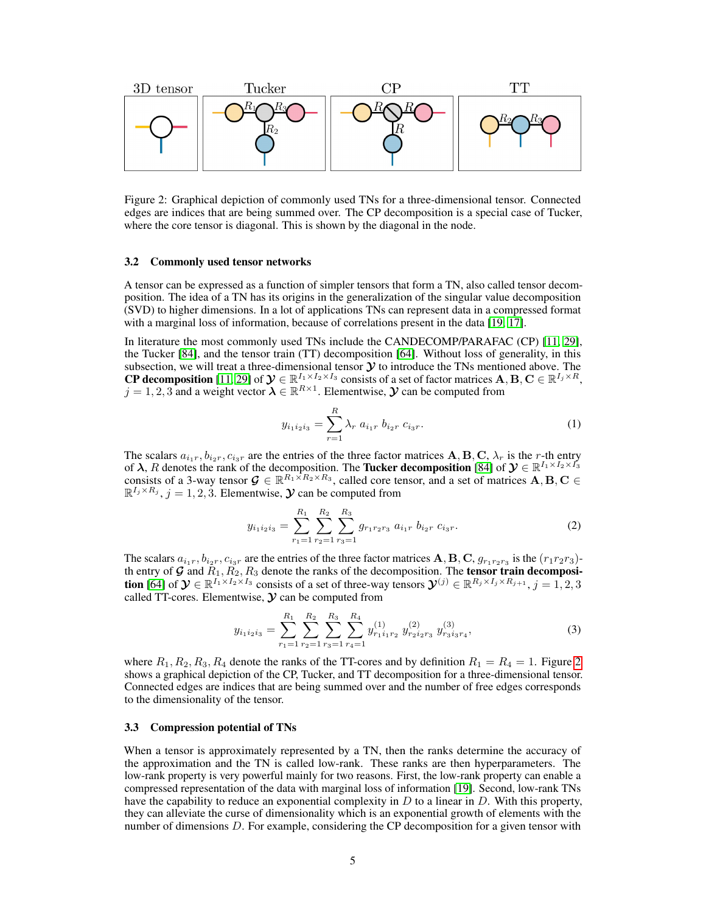

<span id="page-4-0"></span>Figure 2: Graphical depiction of commonly used TNs for a three-dimensional tensor. Connected edges are indices that are being summed over. The CP decomposition is a special case of Tucker, where the core tensor is diagonal. This is shown by the diagonal in the node.

#### <span id="page-4-1"></span>3.2 Commonly used tensor networks

A tensor can be expressed as a function of simpler tensors that form a TN, also called tensor decomposition. The idea of a TN has its origins in the generalization of the singular value decomposition (SVD) to higher dimensions. In a lot of applications TNs can represent data in a compressed format with a marginal loss of information, because of correlations present in the data [\[19,](#page-10-8) [17\]](#page-10-7).

In literature the most commonly used TNs include the CANDECOMP/PARAFAC (CP) [\[11,](#page-9-4) [29\]](#page-10-9), the Tucker [\[84\]](#page-13-8), and the tensor train (TT) decomposition [\[64\]](#page-12-9). Without loss of generality, in this subsection, we will treat a three-dimensional tensor  $\mathcal Y$  to introduce the TNs mentioned above. The **CP decomposition** [\[11,](#page-9-4) [29\]](#page-10-9) of  $\mathcal{Y} \in \mathbb{R}^{I_1 \times I_2 \times I_3}$  consists of a set of factor matrices  $\mathbf{A}, \mathbf{B}, \mathbf{C} \in \mathbb{R}^{I_j \times R}$ ,  $j = 1, 2, 3$  and a weight vector  $\lambda \in \mathbb{R}^{R \times 1}$ . Elementwise,  $\mathcal Y$  can be computed from

$$
y_{i_1 i_2 i_3} = \sum_{r=1}^{R} \lambda_r a_{i_1 r} b_{i_2 r} c_{i_3 r}.
$$
 (1)

The scalars  $a_{i_1r}, b_{i_2r}, c_{i_3r}$  are the entries of the three factor matrices  $\mathbf{A}, \mathbf{B}, \mathbf{C}, \lambda_r$  is the r-th entry of  $\lambda$ , R denotes the rank of the decomposition. The **Tucker decomposition** [\[84\]](#page-13-8) of  $\mathcal{Y} \in \mathbb{R}^{I_1 \times I_2 \times I_3'}$ consists of a 3-way tensor  $\mathcal{G} \in \mathbb{R}^{R_1 \times R_2 \times R_3}$ , called core tensor, and a set of matrices  $A, B, C \in$  $\mathbb{R}^{I_j \times R_j}$ ,  $j = 1, 2, 3$ . Elementwise,  $\mathcal Y$  can be computed from

$$
y_{i_1 i_2 i_3} = \sum_{r_1=1}^{R_1} \sum_{r_2=1}^{R_2} \sum_{r_3=1}^{R_3} g_{r_1 r_2 r_3} a_{i_1 r} b_{i_2 r} c_{i_3 r}.
$$
 (2)

The scalars  $a_{i_1r}, b_{i_2r}, c_{i_3r}$  are the entries of the three factor matrices  $\bf A, \bf B, \bf C, g_{r_1r_2r_3}$  is the  $(r_1r_2r_3)$ th entry of G and  $\overline{R}_1$ ,  $\overline{R}_2$ ,  $R_3$  denote the ranks of the decomposition. The tensor train decomposi**tion** [\[64\]](#page-12-9) of  $\mathcal{Y} \in \mathbb{R}^{I_1 \times I_2 \times I_3}$  consists of a set of three-way tensors  $\mathcal{Y}^{(j)} \in \mathbb{R}^{R_j \times I_j \times R_{j+1}}, j = 1, 2, 3$ called TT-cores. Elementwise,  $\mathcal Y$  can be computed from

<span id="page-4-2"></span>
$$
y_{i_1 i_2 i_3} = \sum_{r_1=1}^{R_1} \sum_{r_2=1}^{R_2} \sum_{r_3=1}^{R_3} \sum_{r_4=1}^{R_4} y_{r_1 i_1 r_2}^{(1)} y_{r_2 i_2 r_3}^{(2)} y_{r_3 i_3 r_4}^{(3)},
$$
(3)

where  $R_1, R_2, R_3, R_4$  denote the ranks of the TT-cores and by definition  $R_1 = R_4 = 1$ . Figure [2](#page-4-0) shows a graphical depiction of the CP, Tucker, and TT decomposition for a three-dimensional tensor. Connected edges are indices that are being summed over and the number of free edges corresponds to the dimensionality of the tensor.

#### 3.3 Compression potential of TNs

When a tensor is approximately represented by a TN, then the ranks determine the accuracy of the approximation and the TN is called low-rank. These ranks are then hyperparameters. The low-rank property is very powerful mainly for two reasons. First, the low-rank property can enable a compressed representation of the data with marginal loss of information [\[19\]](#page-10-8). Second, low-rank TNs have the capability to reduce an exponential complexity in  $D$  to a linear in  $D$ . With this property, they can alleviate the curse of dimensionality which is an exponential growth of elements with the number of dimensions  $D$ . For example, considering the CP decomposition for a given tensor with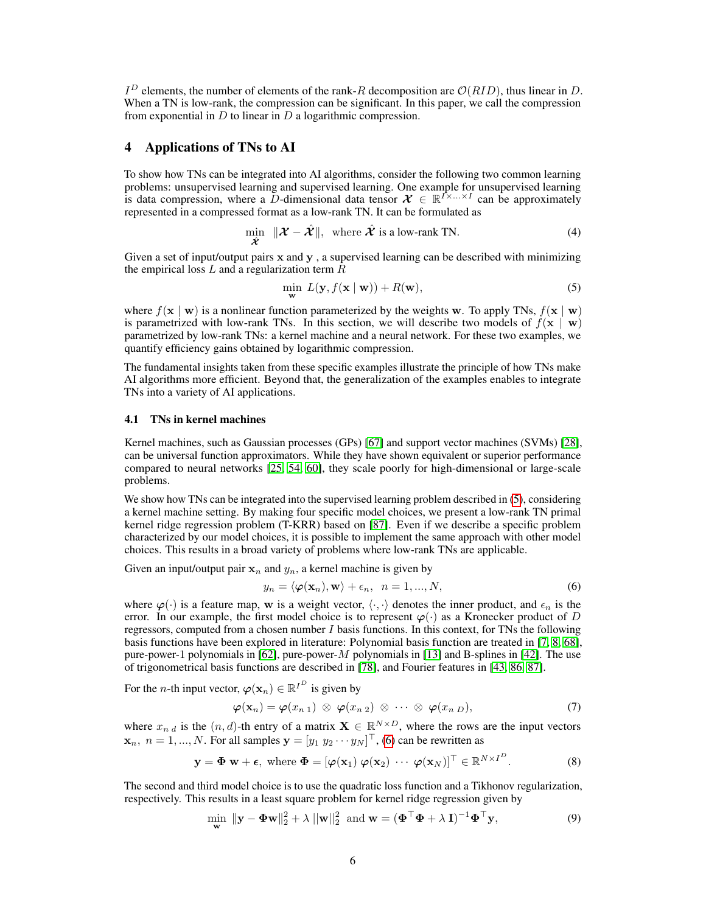$I^D$  elements, the number of elements of the rank-R decomposition are  $\mathcal{O}(RID)$ , thus linear in D. When a TN is low-rank, the compression can be significant. In this paper, we call the compression from exponential in  $D$  to linear in  $D$  a logarithmic compression.

# 4 Applications of TNs to AI

To show how TNs can be integrated into AI algorithms, consider the following two common learning problems: unsupervised learning and supervised learning. One example for unsupervised learning is data compression, where a D-dimensional data tensor  $\mathcal{X} \in \mathbb{R}^{I \times ... \times I}$  can be approximately represented in a compressed format as a low-rank TN. It can be formulated as

$$
\min_{\hat{\mathcal{X}}} \|\mathcal{X} - \hat{\mathcal{X}}\|, \text{ where } \hat{\mathcal{X}} \text{ is a low-rank TN.}
$$
\n(4)

Given a set of input/output pairs  $x$  and  $y$ , a supervised learning can be described with minimizing the empirical loss  $L$  and a regularization term  $R$ 

<span id="page-5-4"></span><span id="page-5-0"></span>
$$
\min_{\mathbf{w}} L(\mathbf{y}, f(\mathbf{x} \mid \mathbf{w})) + R(\mathbf{w}),
$$
\n(5)

where  $f(x | w)$  is a nonlinear function parameterized by the weights w. To apply TNs,  $f(x | w)$ is parametrized with low-rank TNs. In this section, we will describe two models of  $f(x | w)$ parametrized by low-rank TNs: a kernel machine and a neural network. For these two examples, we quantify efficiency gains obtained by logarithmic compression.

The fundamental insights taken from these specific examples illustrate the principle of how TNs make AI algorithms more efficient. Beyond that, the generalization of the examples enables to integrate TNs into a variety of AI applications.

#### 4.1 TNs in kernel machines

Kernel machines, such as Gaussian processes (GPs) [\[67\]](#page-12-10) and support vector machines (SVMs) [\[28\]](#page-10-10), can be universal function approximators. While they have shown equivalent or superior performance compared to neural networks [\[25,](#page-10-11) [54,](#page-11-13) [60\]](#page-12-11), they scale poorly for high-dimensional or large-scale problems.

We show how TNs can be integrated into the supervised learning problem described in [\(5\)](#page-5-0), considering a kernel machine setting. By making four specific model choices, we present a low-rank TN primal kernel ridge regression problem (T-KRR) based on [\[87\]](#page-13-4). Even if we describe a specific problem characterized by our model choices, it is possible to implement the same approach with other model choices. This results in a broad variety of problems where low-rank TNs are applicable.

Given an input/output pair  $x_n$  and  $y_n$ , a kernel machine is given by

<span id="page-5-3"></span><span id="page-5-1"></span>
$$
y_n = \langle \boldsymbol{\varphi}(\mathbf{x}_n), \mathbf{w} \rangle + \epsilon_n, \ \ n = 1, ..., N,
$$

where  $\varphi(\cdot)$  is a feature map, w is a weight vector,  $\langle \cdot, \cdot \rangle$  denotes the inner product, and  $\epsilon_n$  is the error. In our example, the first model choice is to represent  $\varphi(\cdot)$  as a Kronecker product of D regressors, computed from a chosen number  $I$  basis functions. In this context, for TNs the following basis functions have been explored in literature: Polynomial basis function are treated in [\[7,](#page-9-5) [8,](#page-9-6) [68\]](#page-12-12), pure-power-1 polynomials in [\[62\]](#page-12-13), pure-power-M polynomials in [\[13\]](#page-9-7) and B-splines in [\[42\]](#page-11-14). The use of trigonometrical basis functions are described in [\[78\]](#page-13-9), and Fourier features in [\[43,](#page-11-15) [86,](#page-13-10) [87\]](#page-13-4).

For the *n*-th input vector,  $\varphi(\mathbf{x}_n) \in \mathbb{R}^{I^D}$  is given by

<span id="page-5-2"></span>
$$
\boldsymbol{\varphi}(\mathbf{x}_n) = \boldsymbol{\varphi}(x_{n\ 1}) \otimes \boldsymbol{\varphi}(x_{n\ 2}) \otimes \cdots \otimes \boldsymbol{\varphi}(x_{n\ D}), \qquad (7)
$$

where  $x_{n,d}$  is the  $(n,d)$ -th entry of a matrix  $\mathbf{X} \in \mathbb{R}^{N \times D}$ , where the rows are the input vectors  $\mathbf{x}_n, n = 1, ..., N$ . For all samples  $\mathbf{y} = [y_1 \ y_2 \cdots y_N]^\top$ , [\(6\)](#page-5-1) can be rewritten as

$$
\mathbf{y} = \mathbf{\Phi} \mathbf{w} + \boldsymbol{\epsilon}, \text{ where } \mathbf{\Phi} = [\boldsymbol{\varphi}(\mathbf{x}_1) \ \boldsymbol{\varphi}(\mathbf{x}_2) \ \cdots \ \boldsymbol{\varphi}(\mathbf{x}_N)]^\top \in \mathbb{R}^{N \times I^D}.
$$
 (8)

The second and third model choice is to use the quadratic loss function and a Tikhonov regularization, respectively. This results in a least square problem for kernel ridge regression given by

$$
\min_{\mathbf{w}} \|\mathbf{y} - \mathbf{\Phi}\mathbf{w}\|_{2}^{2} + \lambda \|\mathbf{w}\|_{2}^{2} \text{ and } \mathbf{w} = (\mathbf{\Phi}^{\top}\mathbf{\Phi} + \lambda \mathbf{I})^{-1} \mathbf{\Phi}^{\top}\mathbf{y},
$$
\n(9)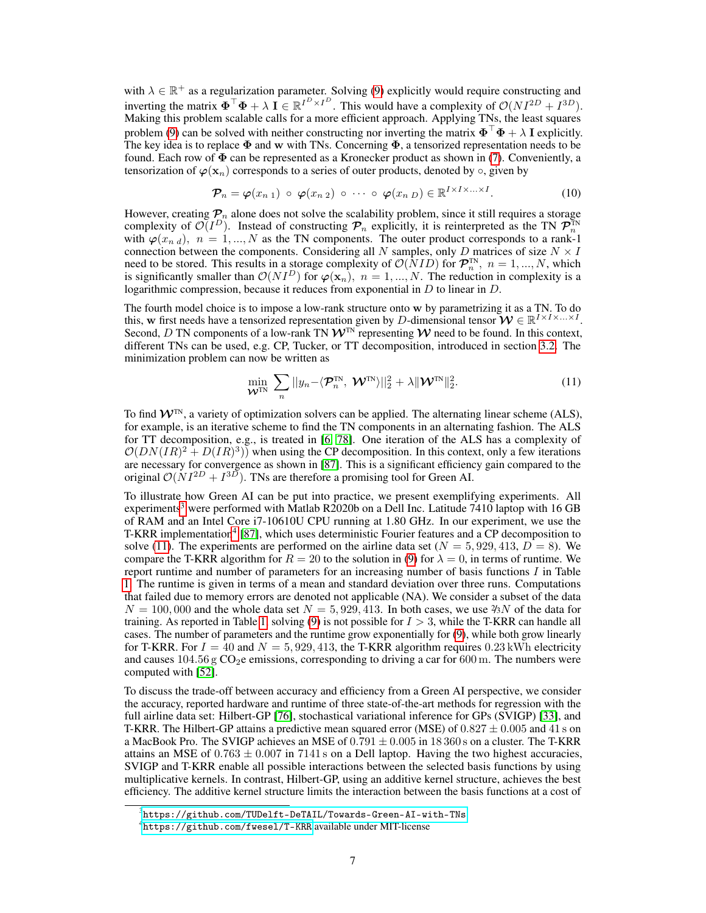with  $\lambda \in \mathbb{R}^+$  as a regularization parameter. Solving [\(9\)](#page-5-2) explicitly would require constructing and inverting the matrix  $\mathbf{\Phi}^\top \mathbf{\Phi} + \lambda \mathbf{I} \in \mathbb{R}^{I^D \times I^D}$ . This would have a complexity of  $\mathcal{O}(NI^{2D} + I^{3D})$ . Making this problem scalable calls for a more efficient approach. Applying TNs, the least squares problem [\(9\)](#page-5-2) can be solved with neither constructing nor inverting the matrix  $\mathbf{\Phi}^\top \mathbf{\Phi} + \lambda \mathbf{I}$  explicitly. The key idea is to replace  $\Phi$  and w with TNs. Concerning  $\Phi$ , a tensorized representation needs to be found. Each row of  $\Phi$  can be represented as a Kronecker product as shown in [\(7\)](#page-5-3). Conveniently, a tensorization of  $\varphi(\mathbf{x}_n)$  corresponds to a series of outer products, denoted by  $\circ$ , given by

$$
\mathcal{P}_n = \varphi(x_{n\ 1}) \circ \varphi(x_{n\ 2}) \circ \cdots \circ \varphi(x_{n\ D}) \in \mathbb{R}^{I \times I \times \ldots \times I}.
$$
 (10)

However, creating  $P_n$  alone does not solve the scalability problem, since it still requires a storage complexity of  $\mathcal{O}(I^D)$ . Instead of constructing  $\mathcal{P}_n$  explicitly, it is reinterpreted as the TN  $\mathcal{P}_n^{\text{TN}}$ with  $\varphi(x_{n,d})$ ,  $n = 1, ..., N$  as the TN components. The outer product corresponds to a rank-1 connection between the components. Considering all N samples, only D matrices of size  $N \times I$ need to be stored. This results in a storage complexity of  $\mathcal{O}(NID)$  for  $\mathcal{P}_n^{\text{TN}}$ ,  $n = 1, ..., N$ , which is significantly smaller than  $\mathcal{O}(NI^D)$  for  $\varphi(\mathbf{x}_n)$ ,  $n = 1, ..., N$ . The reduction in complexity is a logarithmic compression, because it reduces from exponential in  $D$  to linear in  $D$ .

The fourth model choice is to impose a low-rank structure onto w by parametrizing it as a TN. To do this, w first needs have a tensorized representation given by D-dimensional tensor  $\mathbf{W} \in \mathbb{R}^{I \times I \times ... \times I}$ . Second, D TN components of a low-rank TN  $W^{TN}$  representing W need to be found. In this context, different TNs can be used, e.g. CP, Tucker, or TT decomposition, introduced in section [3.2.](#page-4-1) The minimization problem can now be written as

<span id="page-6-2"></span>
$$
\min_{\mathbf{\mathcal{W}}^{\text{TN}}} \sum_{n} ||y_n - \langle \mathbf{\mathcal{P}}_n^{\text{TN}}, \mathbf{\mathcal{W}}^{\text{TN}} \rangle||_2^2 + \lambda \|\mathbf{\mathcal{W}}^{\text{TN}}\|_2^2.
$$
 (11)

To find  $W<sup>TN</sup>$ , a variety of optimization solvers can be applied. The alternating linear scheme (ALS), for example, is an iterative scheme to find the TN components in an alternating fashion. The ALS for TT decomposition, e.g., is treated in [\[6,](#page-9-8) [78\]](#page-13-9). One iteration of the ALS has a complexity of  $\mathcal{O}(DN(IR)^2 + D(IR)^3)$  when using the CP decomposition. In this context, only a few iterations are necessary for convergence as shown in [\[87\]](#page-13-4). This is a significant efficiency gain compared to the original  $\mathcal{O}(NI^{2D} + I^{3D})$ . TNs are therefore a promising tool for Green AI.

To illustrate how Green AI can be put into practice, we present exemplifying experiments. All experiments<sup>[3](#page-6-0)</sup> were performed with Matlab R2020b on a Dell Inc. Latitude 7410 laptop with 16 GB of RAM and an Intel Core i7-10610U CPU running at 1.80 GHz. In our experiment, we use the T-KRR implementation<sup>[4](#page-6-1)</sup> [\[87\]](#page-13-4), which uses deterministic Fourier features and a CP decomposition to solve [\(11\)](#page-6-2). The experiments are performed on the airline data set ( $N = 5,929,413, D = 8$ ). We compare the T-KRR algorithm for  $R = 20$  to the solution in [\(9\)](#page-5-2) for  $\lambda = 0$ , in terms of runtime. We report runtime and number of parameters for an increasing number of basis functions I in Table [1.](#page-7-0) The runtime is given in terms of a mean and standard deviation over three runs. Computations that failed due to memory errors are denoted not applicable (NA). We consider a subset of the data  $N = 100,000$  and the whole data set  $N = 5,929,413$ . In both cases, we use  $\frac{\partial 3}{N}$  of the data for training. As reported in Table [1,](#page-7-0) solving [\(9\)](#page-5-2) is not possible for  $I > 3$ , while the T-KRR can handle all cases. The number of parameters and the runtime grow exponentially for [\(9\)](#page-5-2), while both grow linearly for T-KRR. For  $I = 40$  and  $N = 5,929,413$ , the T-KRR algorithm requires 0.23 kWh electricity and causes  $104.56$  g CO<sub>2</sub>e emissions, corresponding to driving a car for 600 m. The numbers were computed with [\[52\]](#page-11-3).

To discuss the trade-off between accuracy and efficiency from a Green AI perspective, we consider the accuracy, reported hardware and runtime of three state-of-the-art methods for regression with the full airline data set: Hilbert-GP [\[76\]](#page-13-11), stochastical variational inference for GPs (SVIGP) [\[33\]](#page-10-12), and T-KRR. The Hilbert-GP attains a predictive mean squared error (MSE) of  $0.827 \pm 0.005$  and 41 s on a MacBook Pro. The SVIGP achieves an MSE of  $0.791 \pm 0.005$  in 18 360 s on a cluster. The T-KRR attains an MSE of  $0.763 \pm 0.007$  in 7141 s on a Dell laptop. Having the two highest accuracies, SVIGP and T-KRR enable all possible interactions between the selected basis functions by using multiplicative kernels. In contrast, Hilbert-GP, using an additive kernel structure, achieves the best efficiency. The additive kernel structure limits the interaction between the basis functions at a cost of

<span id="page-6-0"></span> $^3$ <https://github.com/TUDelft-DeTAIL/Towards-Green-AI-with-TNs>

<span id="page-6-1"></span><sup>4</sup> <https://github.com/fwesel/T-KRR> available under MIT-license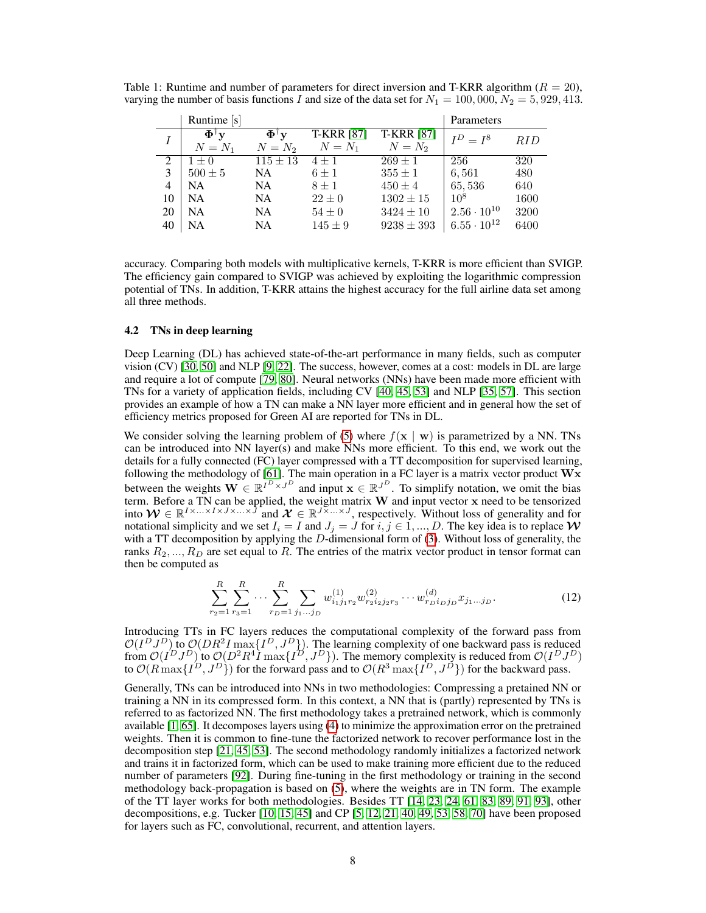|                | Runtime [s]        |                                       |                   |                   | Parameters           |            |
|----------------|--------------------|---------------------------------------|-------------------|-------------------|----------------------|------------|
|                | $\Phi^{\dagger}$ v | $\mathbf{\Phi}^{\intercal}\mathbf{v}$ | <b>T-KRR [87]</b> | <b>T-KRR</b> [87] | $I^D = I^8$          | <i>RID</i> |
|                | $N = N_1$          | $N = N_2$                             | $N=N_1$           | $N = N_2$         |                      |            |
|                | $1 \pm 0$          | $115 \pm 13$                          | $4 \pm 1$         | $269 \pm 1$       | 256                  | 320        |
| 3              | $500 \pm 5$        | <b>NA</b>                             | $6 \pm 1$         | $355 \pm 1$       | 6.561                | 480        |
| $\overline{4}$ | NA.                | <b>NA</b>                             | $8 \pm 1$         | $450 \pm 4$       | 65,536               | 640        |
| 10             | <b>NA</b>          | <b>NA</b>                             | $22 \pm 0$        | $1302 \pm 15$     | $10^8$               | 1600       |
| 20             | <b>NA</b>          | <b>NA</b>                             | $54\pm0$          | $3424 \pm 10$     | $2.56 \cdot 10^{10}$ | 3200       |
| 40             | NA                 | <b>NA</b>                             | $145 \pm 9$       | $9238 \pm 393$    | $6.55 \cdot 10^{12}$ | 6400       |

<span id="page-7-0"></span>Table 1: Runtime and number of parameters for direct inversion and T-KRR algorithm ( $R = 20$ ), varying the number of basis functions I and size of the data set for  $N_1 = 100,000, N_2 = 5,929,413$ .

accuracy. Comparing both models with multiplicative kernels, T-KRR is more efficient than SVIGP. The efficiency gain compared to SVIGP was achieved by exploiting the logarithmic compression potential of TNs. In addition, T-KRR attains the highest accuracy for the full airline data set among all three methods.

#### 4.2 TNs in deep learning

Deep Learning (DL) has achieved state-of-the-art performance in many fields, such as computer vision (CV) [\[30,](#page-10-13) [50\]](#page-11-16) and NLP [\[9,](#page-9-9) [22\]](#page-10-14). The success, however, comes at a cost: models in DL are large and require a lot of compute [\[79,](#page-13-1) [80\]](#page-13-2). Neural networks (NNs) have been made more efficient with TNs for a variety of application fields, including CV [\[40,](#page-11-17) [45,](#page-11-18) [53\]](#page-11-19) and NLP [\[35,](#page-10-15) [57\]](#page-12-14). This section provides an example of how a TN can make a NN layer more efficient and in general how the set of efficiency metrics proposed for Green AI are reported for TNs in DL.

We consider solving the learning problem of [\(5\)](#page-5-0) where  $f(x \mid w)$  is parametrized by a NN. TNs can be introduced into NN layer(s) and make NNs more efficient. To this end, we work out the details for a fully connected (FC) layer compressed with a TT decomposition for supervised learning, following the methodology of [\[61\]](#page-12-15). The main operation in a FC layer is a matrix vector product  $\mathbf{W} \mathbf{x}$ between the weights  $\mathbf{W} \in \mathbb{R}^{I^D \times J^D}$  and input  $\mathbf{x} \in \mathbb{R}^{J^D}$ . To simplify notation, we omit the bias term. Before a TN can be applied, the weight matrix  $W$  and input vector  $x$  need to be tensorized into  $W \in \mathbb{R}^{I \times ... \times I \times J \times ... \times J}$  and  $\mathcal{X} \in \mathbb{R}^{J \times ... \times J}$ , respectively. Without loss of generality and for notational simplicity and we set  $I_i = I$  and  $J_j = J$  for  $i, j \in 1, ..., D$ . The key idea is to replace  $W$ with a TT decomposition by applying the  $D$ -dimensional form of [\(3\)](#page-4-2). Without loss of generality, the ranks  $R_2, ..., R_D$  are set equal to R. The entries of the matrix vector product in tensor format can then be computed as

$$
\sum_{r_2=1}^R \sum_{r_3=1}^R \cdots \sum_{r_D=1}^R \sum_{j_1 \dots j_D} w_{i_1 j_1 r_2}^{(1)} w_{i_2 i_2 j_2 r_3}^{(2)} \cdots w_{i_D i_D j_D}^{(d)} x_{j_1 \dots j_D}.
$$
 (12)

Introducing TTs in FC layers reduces the computational complexity of the forward pass from  $\mathcal{O}(I^D J^D)$  to  $\mathcal{O}(DR^2 I \max\{I^D, J^D\})$ . The learning complexity of one backward pass is reduced from  $\mathcal{O}(I^D J^D)$  to  $\mathcal{O}(D^2 R^4 I \max\{I^D, J^D\})$ . The memory complexity is reduced from  $\mathcal{O}(I^D J^D)$ to  $\mathcal{O}(R \max\{I^D, J^D\})$  for the forward pass and to  $\mathcal{O}(R^3 \max\{I^D, J^D\})$  for the backward pass.

Generally, TNs can be introduced into NNs in two methodologies: Compressing a pretained NN or training a NN in its compressed form. In this context, a NN that is (partly) represented by TNs is referred to as factorized NN. The first methodology takes a pretrained network, which is commonly available [\[1,](#page-9-10) [65\]](#page-12-16). It decomposes layers using [\(4\)](#page-5-4) to minimize the approximation error on the pretrained weights. Then it is common to fine-tune the factorized network to recover performance lost in the decomposition step [\[21,](#page-10-16) [45,](#page-11-18) [53\]](#page-11-19). The second methodology randomly initializes a factorized network and trains it in factorized form, which can be used to make training more efficient due to the reduced number of parameters [\[92\]](#page-13-12). During fine-tuning in the first methodology or training in the second methodology back-propagation is based on [\(5\)](#page-5-0), where the weights are in TN form. The example of the TT layer works for both methodologies. Besides TT [\[14,](#page-9-11) [23,](#page-10-17) [24,](#page-10-18) [61,](#page-12-15) [83,](#page-13-13) [89,](#page-13-14) [91,](#page-13-15) [93\]](#page-13-16), other decompositions, e.g. Tucker [\[10,](#page-9-12) [15,](#page-9-13) [45\]](#page-11-18) and CP [\[5,](#page-9-14) [12,](#page-9-15) [21,](#page-10-16) [40,](#page-11-17) [49,](#page-11-20) [53,](#page-11-19) [58,](#page-12-17) [70\]](#page-12-18) have been proposed for layers such as FC, convolutional, recurrent, and attention layers.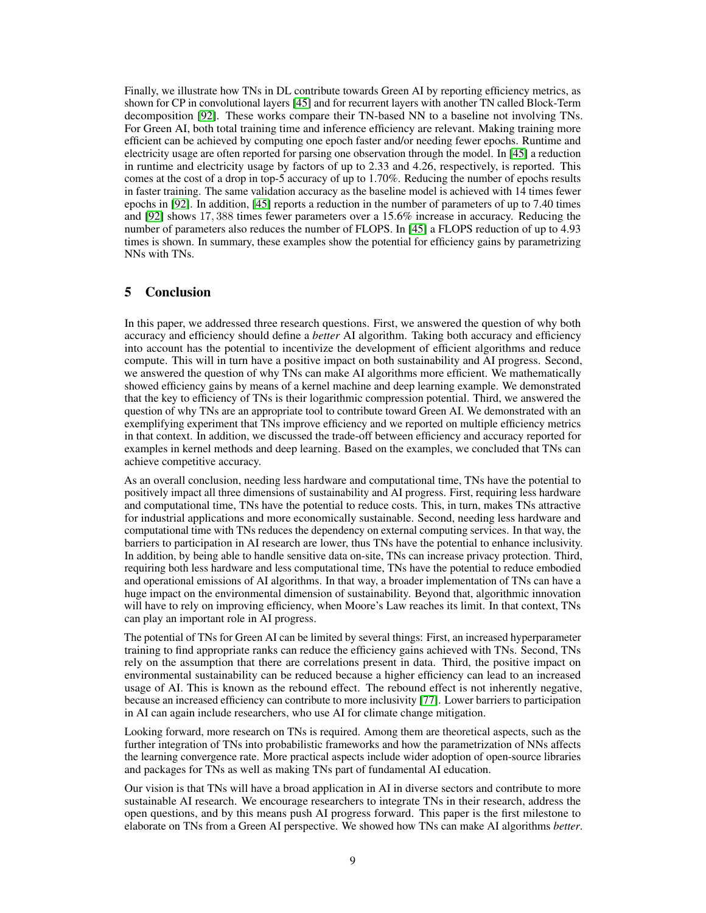Finally, we illustrate how TNs in DL contribute towards Green AI by reporting efficiency metrics, as shown for CP in convolutional layers [\[45\]](#page-11-18) and for recurrent layers with another TN called Block-Term decomposition [\[92\]](#page-13-12). These works compare their TN-based NN to a baseline not involving TNs. For Green AI, both total training time and inference efficiency are relevant. Making training more efficient can be achieved by computing one epoch faster and/or needing fewer epochs. Runtime and electricity usage are often reported for parsing one observation through the model. In [\[45\]](#page-11-18) a reduction in runtime and electricity usage by factors of up to 2.33 and 4.26, respectively, is reported. This comes at the cost of a drop in top-5 accuracy of up to 1.70%. Reducing the number of epochs results in faster training. The same validation accuracy as the baseline model is achieved with 14 times fewer epochs in [\[92\]](#page-13-12). In addition, [\[45\]](#page-11-18) reports a reduction in the number of parameters of up to 7.40 times and [\[92\]](#page-13-12) shows 17, 388 times fewer parameters over a 15.6% increase in accuracy. Reducing the number of parameters also reduces the number of FLOPS. In [\[45\]](#page-11-18) a FLOPS reduction of up to 4.93 times is shown. In summary, these examples show the potential for efficiency gains by parametrizing NNs with TNs.

## 5 Conclusion

In this paper, we addressed three research questions. First, we answered the question of why both accuracy and efficiency should define a *better* AI algorithm. Taking both accuracy and efficiency into account has the potential to incentivize the development of efficient algorithms and reduce compute. This will in turn have a positive impact on both sustainability and AI progress. Second, we answered the question of why TNs can make AI algorithms more efficient. We mathematically showed efficiency gains by means of a kernel machine and deep learning example. We demonstrated that the key to efficiency of TNs is their logarithmic compression potential. Third, we answered the question of why TNs are an appropriate tool to contribute toward Green AI. We demonstrated with an exemplifying experiment that TNs improve efficiency and we reported on multiple efficiency metrics in that context. In addition, we discussed the trade-off between efficiency and accuracy reported for examples in kernel methods and deep learning. Based on the examples, we concluded that TNs can achieve competitive accuracy.

As an overall conclusion, needing less hardware and computational time, TNs have the potential to positively impact all three dimensions of sustainability and AI progress. First, requiring less hardware and computational time, TNs have the potential to reduce costs. This, in turn, makes TNs attractive for industrial applications and more economically sustainable. Second, needing less hardware and computational time with TNs reduces the dependency on external computing services. In that way, the barriers to participation in AI research are lower, thus TNs have the potential to enhance inclusivity. In addition, by being able to handle sensitive data on-site, TNs can increase privacy protection. Third, requiring both less hardware and less computational time, TNs have the potential to reduce embodied and operational emissions of AI algorithms. In that way, a broader implementation of TNs can have a huge impact on the environmental dimension of sustainability. Beyond that, algorithmic innovation will have to rely on improving efficiency, when Moore's Law reaches its limit. In that context, TNs can play an important role in AI progress.

The potential of TNs for Green AI can be limited by several things: First, an increased hyperparameter training to find appropriate ranks can reduce the efficiency gains achieved with TNs. Second, TNs rely on the assumption that there are correlations present in data. Third, the positive impact on environmental sustainability can be reduced because a higher efficiency can lead to an increased usage of AI. This is known as the rebound effect. The rebound effect is not inherently negative, because an increased efficiency can contribute to more inclusivity [\[77\]](#page-13-17). Lower barriers to participation in AI can again include researchers, who use AI for climate change mitigation.

Looking forward, more research on TNs is required. Among them are theoretical aspects, such as the further integration of TNs into probabilistic frameworks and how the parametrization of NNs affects the learning convergence rate. More practical aspects include wider adoption of open-source libraries and packages for TNs as well as making TNs part of fundamental AI education.

Our vision is that TNs will have a broad application in AI in diverse sectors and contribute to more sustainable AI research. We encourage researchers to integrate TNs in their research, address the open questions, and by this means push AI progress forward. This paper is the first milestone to elaborate on TNs from a Green AI perspective. We showed how TNs can make AI algorithms *better*.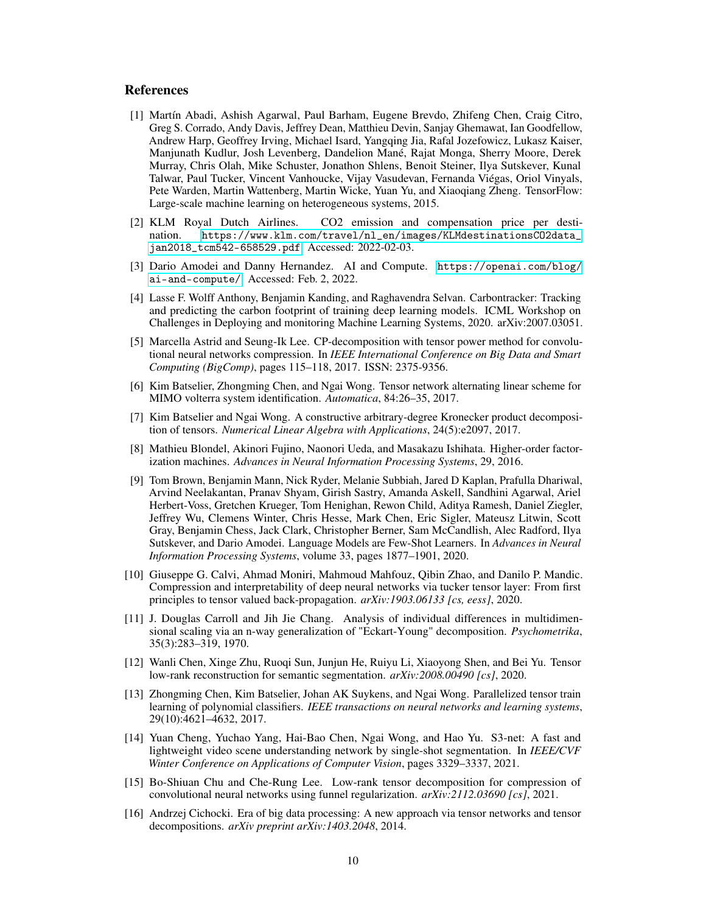### References

- <span id="page-9-10"></span>[1] Martín Abadi, Ashish Agarwal, Paul Barham, Eugene Brevdo, Zhifeng Chen, Craig Citro, Greg S. Corrado, Andy Davis, Jeffrey Dean, Matthieu Devin, Sanjay Ghemawat, Ian Goodfellow, Andrew Harp, Geoffrey Irving, Michael Isard, Yangqing Jia, Rafal Jozefowicz, Lukasz Kaiser, Manjunath Kudlur, Josh Levenberg, Dandelion Mané, Rajat Monga, Sherry Moore, Derek Murray, Chris Olah, Mike Schuster, Jonathon Shlens, Benoit Steiner, Ilya Sutskever, Kunal Talwar, Paul Tucker, Vincent Vanhoucke, Vijay Vasudevan, Fernanda Viégas, Oriol Vinyals, Pete Warden, Martin Wattenberg, Martin Wicke, Yuan Yu, and Xiaoqiang Zheng. TensorFlow: Large-scale machine learning on heterogeneous systems, 2015.
- <span id="page-9-0"></span>[2] KLM Royal Dutch Airlines. CO2 emission and compensation price per destination. [https://www.klm.com/travel/nl\\_en/images/KLMdestinationsCO2data\\_](https://www.klm.com/travel/nl_en/images/KLMdestinationsCO2data_jan2018_tcm542-658529.pdf) [jan2018\\_tcm542-658529.pdf](https://www.klm.com/travel/nl_en/images/KLMdestinationsCO2data_jan2018_tcm542-658529.pdf). Accessed: 2022-02-03.
- <span id="page-9-2"></span>[3] Dario Amodei and Danny Hernandez. AI and Compute. [https://openai.com/blog/](https://openai.com/blog/ai-and-compute/) [ai-and-compute/](https://openai.com/blog/ai-and-compute/). Accessed: Feb. 2, 2022.
- <span id="page-9-3"></span>[4] Lasse F. Wolff Anthony, Benjamin Kanding, and Raghavendra Selvan. Carbontracker: Tracking and predicting the carbon footprint of training deep learning models. ICML Workshop on Challenges in Deploying and monitoring Machine Learning Systems, 2020. arXiv:2007.03051.
- <span id="page-9-14"></span>[5] Marcella Astrid and Seung-Ik Lee. CP-decomposition with tensor power method for convolutional neural networks compression. In *IEEE International Conference on Big Data and Smart Computing (BigComp)*, pages 115–118, 2017. ISSN: 2375-9356.
- <span id="page-9-8"></span>[6] Kim Batselier, Zhongming Chen, and Ngai Wong. Tensor network alternating linear scheme for MIMO volterra system identification. *Automatica*, 84:26–35, 2017.
- <span id="page-9-5"></span>[7] Kim Batselier and Ngai Wong. A constructive arbitrary-degree Kronecker product decomposition of tensors. *Numerical Linear Algebra with Applications*, 24(5):e2097, 2017.
- <span id="page-9-6"></span>[8] Mathieu Blondel, Akinori Fujino, Naonori Ueda, and Masakazu Ishihata. Higher-order factorization machines. *Advances in Neural Information Processing Systems*, 29, 2016.
- <span id="page-9-9"></span>[9] Tom Brown, Benjamin Mann, Nick Ryder, Melanie Subbiah, Jared D Kaplan, Prafulla Dhariwal, Arvind Neelakantan, Pranav Shyam, Girish Sastry, Amanda Askell, Sandhini Agarwal, Ariel Herbert-Voss, Gretchen Krueger, Tom Henighan, Rewon Child, Aditya Ramesh, Daniel Ziegler, Jeffrey Wu, Clemens Winter, Chris Hesse, Mark Chen, Eric Sigler, Mateusz Litwin, Scott Gray, Benjamin Chess, Jack Clark, Christopher Berner, Sam McCandlish, Alec Radford, Ilya Sutskever, and Dario Amodei. Language Models are Few-Shot Learners. In *Advances in Neural Information Processing Systems*, volume 33, pages 1877–1901, 2020.
- <span id="page-9-12"></span>[10] Giuseppe G. Calvi, Ahmad Moniri, Mahmoud Mahfouz, Qibin Zhao, and Danilo P. Mandic. Compression and interpretability of deep neural networks via tucker tensor layer: From first principles to tensor valued back-propagation. *arXiv:1903.06133 [cs, eess]*, 2020.
- <span id="page-9-4"></span>[11] J. Douglas Carroll and Jih Jie Chang. Analysis of individual differences in multidimensional scaling via an n-way generalization of "Eckart-Young" decomposition. *Psychometrika*, 35(3):283–319, 1970.
- <span id="page-9-15"></span>[12] Wanli Chen, Xinge Zhu, Ruoqi Sun, Junjun He, Ruiyu Li, Xiaoyong Shen, and Bei Yu. Tensor low-rank reconstruction for semantic segmentation. *arXiv:2008.00490 [cs]*, 2020.
- <span id="page-9-7"></span>[13] Zhongming Chen, Kim Batselier, Johan AK Suykens, and Ngai Wong. Parallelized tensor train learning of polynomial classifiers. *IEEE transactions on neural networks and learning systems*, 29(10):4621–4632, 2017.
- <span id="page-9-11"></span>[14] Yuan Cheng, Yuchao Yang, Hai-Bao Chen, Ngai Wong, and Hao Yu. S3-net: A fast and lightweight video scene understanding network by single-shot segmentation. In *IEEE/CVF Winter Conference on Applications of Computer Vision*, pages 3329–3337, 2021.
- <span id="page-9-13"></span>[15] Bo-Shiuan Chu and Che-Rung Lee. Low-rank tensor decomposition for compression of convolutional neural networks using funnel regularization. *arXiv:2112.03690 [cs]*, 2021.
- <span id="page-9-1"></span>[16] Andrzej Cichocki. Era of big data processing: A new approach via tensor networks and tensor decompositions. *arXiv preprint arXiv:1403.2048*, 2014.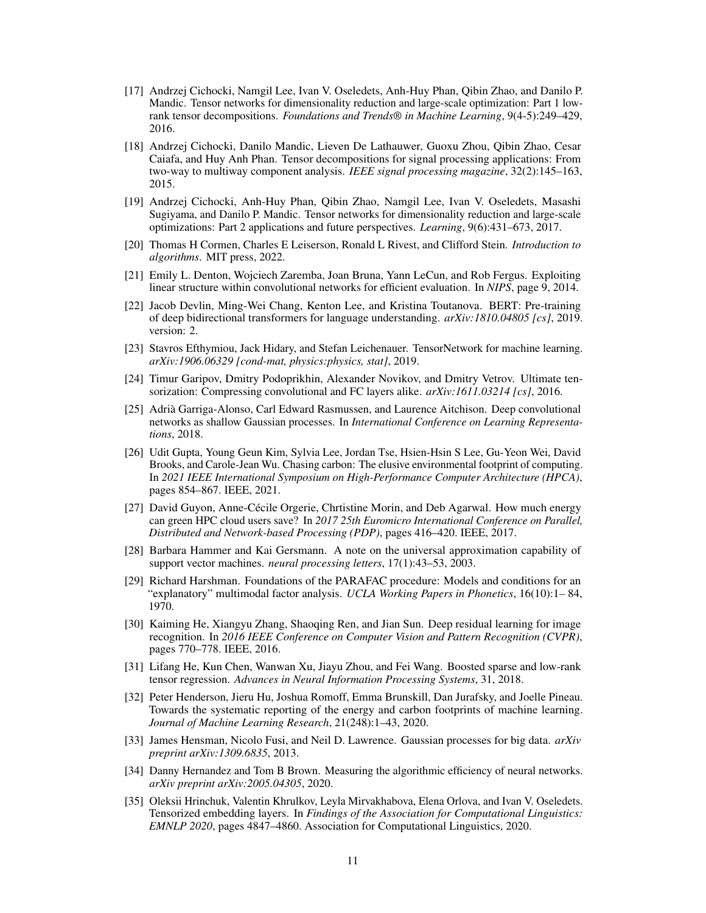- <span id="page-10-7"></span>[17] Andrzej Cichocki, Namgil Lee, Ivan V. Oseledets, Anh-Huy Phan, Qibin Zhao, and Danilo P. Mandic. Tensor networks for dimensionality reduction and large-scale optimization: Part 1 lowrank tensor decompositions. *Foundations and Trends® in Machine Learning*, 9(4-5):249–429, 2016.
- <span id="page-10-6"></span>[18] Andrzej Cichocki, Danilo Mandic, Lieven De Lathauwer, Guoxu Zhou, Qibin Zhao, Cesar Caiafa, and Huy Anh Phan. Tensor decompositions for signal processing applications: From two-way to multiway component analysis. *IEEE signal processing magazine*, 32(2):145–163, 2015.
- <span id="page-10-8"></span>[19] Andrzej Cichocki, Anh-Huy Phan, Qibin Zhao, Namgil Lee, Ivan V. Oseledets, Masashi Sugiyama, and Danilo P. Mandic. Tensor networks for dimensionality reduction and large-scale optimizations: Part 2 applications and future perspectives. *Learning*, 9(6):431–673, 2017.
- <span id="page-10-0"></span>[20] Thomas H Cormen, Charles E Leiserson, Ronald L Rivest, and Clifford Stein. *Introduction to algorithms*. MIT press, 2022.
- <span id="page-10-16"></span>[21] Emily L. Denton, Wojciech Zaremba, Joan Bruna, Yann LeCun, and Rob Fergus. Exploiting linear structure within convolutional networks for efficient evaluation. In *NIPS*, page 9, 2014.
- <span id="page-10-14"></span>[22] Jacob Devlin, Ming-Wei Chang, Kenton Lee, and Kristina Toutanova. BERT: Pre-training of deep bidirectional transformers for language understanding. *arXiv:1810.04805 [cs]*, 2019. version: 2.
- <span id="page-10-17"></span>[23] Stavros Efthymiou, Jack Hidary, and Stefan Leichenauer. TensorNetwork for machine learning. *arXiv:1906.06329 [cond-mat, physics:physics, stat]*, 2019.
- <span id="page-10-18"></span>[24] Timur Garipov, Dmitry Podoprikhin, Alexander Novikov, and Dmitry Vetrov. Ultimate tensorization: Compressing convolutional and FC layers alike. *arXiv:1611.03214 [cs]*, 2016.
- <span id="page-10-11"></span>[25] Adrià Garriga-Alonso, Carl Edward Rasmussen, and Laurence Aitchison. Deep convolutional networks as shallow Gaussian processes. In *International Conference on Learning Representations*, 2018.
- <span id="page-10-3"></span>[26] Udit Gupta, Young Geun Kim, Sylvia Lee, Jordan Tse, Hsien-Hsin S Lee, Gu-Yeon Wei, David Brooks, and Carole-Jean Wu. Chasing carbon: The elusive environmental footprint of computing. In *2021 IEEE International Symposium on High-Performance Computer Architecture (HPCA)*, pages 854–867. IEEE, 2021.
- <span id="page-10-4"></span>[27] David Guyon, Anne-Cécile Orgerie, Chrtistine Morin, and Deb Agarwal. How much energy can green HPC cloud users save? In *2017 25th Euromicro International Conference on Parallel, Distributed and Network-based Processing (PDP)*, pages 416–420. IEEE, 2017.
- <span id="page-10-10"></span>[28] Barbara Hammer and Kai Gersmann. A note on the universal approximation capability of support vector machines. *neural processing letters*, 17(1):43–53, 2003.
- <span id="page-10-9"></span>[29] Richard Harshman. Foundations of the PARAFAC procedure: Models and conditions for an "explanatory" multimodal factor analysis. *UCLA Working Papers in Phonetics*, 16(10):1– 84, 1970.
- <span id="page-10-13"></span>[30] Kaiming He, Xiangyu Zhang, Shaoqing Ren, and Jian Sun. Deep residual learning for image recognition. In *2016 IEEE Conference on Computer Vision and Pattern Recognition (CVPR)*, pages 770–778. IEEE, 2016.
- <span id="page-10-2"></span>[31] Lifang He, Kun Chen, Wanwan Xu, Jiayu Zhou, and Fei Wang. Boosted sparse and low-rank tensor regression. *Advances in Neural Information Processing Systems*, 31, 2018.
- <span id="page-10-1"></span>[32] Peter Henderson, Jieru Hu, Joshua Romoff, Emma Brunskill, Dan Jurafsky, and Joelle Pineau. Towards the systematic reporting of the energy and carbon footprints of machine learning. *Journal of Machine Learning Research*, 21(248):1–43, 2020.
- <span id="page-10-12"></span>[33] James Hensman, Nicolo Fusi, and Neil D. Lawrence. Gaussian processes for big data. *arXiv preprint arXiv:1309.6835*, 2013.
- <span id="page-10-5"></span>[34] Danny Hernandez and Tom B Brown. Measuring the algorithmic efficiency of neural networks. *arXiv preprint arXiv:2005.04305*, 2020.
- <span id="page-10-15"></span>[35] Oleksii Hrinchuk, Valentin Khrulkov, Leyla Mirvakhabova, Elena Orlova, and Ivan V. Oseledets. Tensorized embedding layers. In *Findings of the Association for Computational Linguistics: EMNLP 2020*, pages 4847–4860. Association for Computational Linguistics, 2020.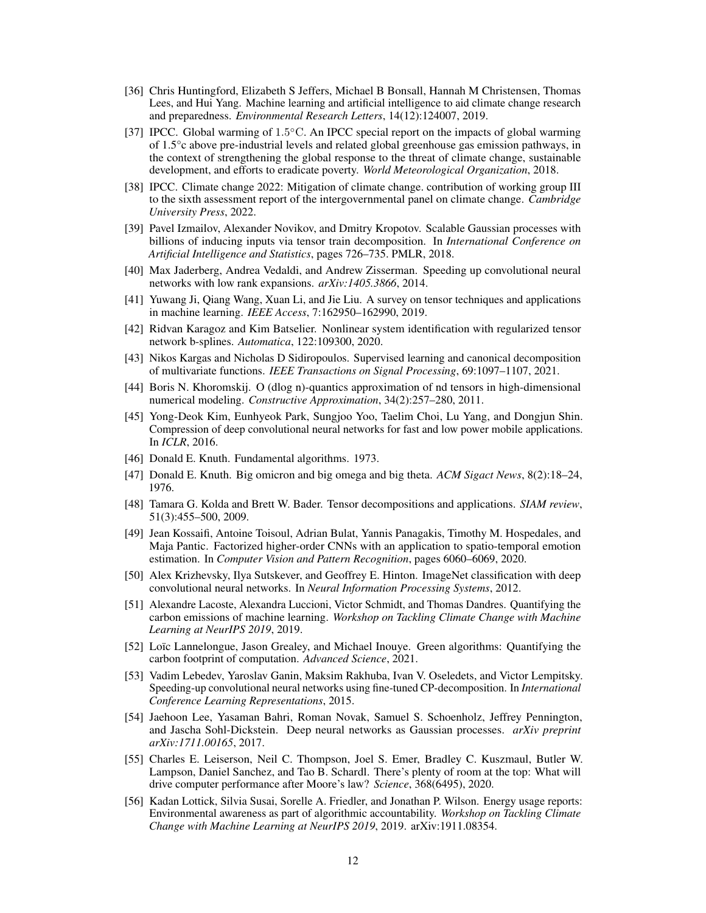- <span id="page-11-7"></span>[36] Chris Huntingford, Elizabeth S Jeffers, Michael B Bonsall, Hannah M Christensen, Thomas Lees, and Hui Yang. Machine learning and artificial intelligence to aid climate change research and preparedness. *Environmental Research Letters*, 14(12):124007, 2019.
- <span id="page-11-6"></span>[37] IPCC. Global warming of 1.5°C. An IPCC special report on the impacts of global warming of 1.5°c above pre-industrial levels and related global greenhouse gas emission pathways, in the context of strengthening the global response to the threat of climate change, sustainable development, and efforts to eradicate poverty. *World Meteorological Organization*, 2018.
- <span id="page-11-5"></span>[38] IPCC. Climate change 2022: Mitigation of climate change. contribution of working group III to the sixth assessment report of the intergovernmental panel on climate change. *Cambridge University Press*, 2022.
- <span id="page-11-4"></span>[39] Pavel Izmailov, Alexander Novikov, and Dmitry Kropotov. Scalable Gaussian processes with billions of inducing inputs via tensor train decomposition. In *International Conference on Artificial Intelligence and Statistics*, pages 726–735. PMLR, 2018.
- <span id="page-11-17"></span>[40] Max Jaderberg, Andrea Vedaldi, and Andrew Zisserman. Speeding up convolutional neural networks with low rank expansions. *arXiv:1405.3866*, 2014.
- <span id="page-11-10"></span>[41] Yuwang Ji, Qiang Wang, Xuan Li, and Jie Liu. A survey on tensor techniques and applications in machine learning. *IEEE Access*, 7:162950–162990, 2019.
- <span id="page-11-14"></span>[42] Ridvan Karagoz and Kim Batselier. Nonlinear system identification with regularized tensor network b-splines. *Automatica*, 122:109300, 2020.
- <span id="page-11-15"></span>[43] Nikos Kargas and Nicholas D Sidiropoulos. Supervised learning and canonical decomposition of multivariate functions. *IEEE Transactions on Signal Processing*, 69:1097–1107, 2021.
- <span id="page-11-11"></span>[44] Boris N. Khoromskij. O (dlog n)-quantics approximation of nd tensors in high-dimensional numerical modeling. *Constructive Approximation*, 34(2):257–280, 2011.
- <span id="page-11-18"></span>[45] Yong-Deok Kim, Eunhyeok Park, Sungjoo Yoo, Taelim Choi, Lu Yang, and Dongjun Shin. Compression of deep convolutional neural networks for fast and low power mobile applications. In *ICLR*, 2016.
- <span id="page-11-0"></span>[46] Donald E. Knuth. Fundamental algorithms. 1973.
- <span id="page-11-1"></span>[47] Donald E. Knuth. Big omicron and big omega and big theta. *ACM Sigact News*, 8(2):18–24, 1976.
- <span id="page-11-12"></span>[48] Tamara G. Kolda and Brett W. Bader. Tensor decompositions and applications. *SIAM review*, 51(3):455–500, 2009.
- <span id="page-11-20"></span>[49] Jean Kossaifi, Antoine Toisoul, Adrian Bulat, Yannis Panagakis, Timothy M. Hospedales, and Maja Pantic. Factorized higher-order CNNs with an application to spatio-temporal emotion estimation. In *Computer Vision and Pattern Recognition*, pages 6060–6069, 2020.
- <span id="page-11-16"></span>[50] Alex Krizhevsky, Ilya Sutskever, and Geoffrey E. Hinton. ImageNet classification with deep convolutional neural networks. In *Neural Information Processing Systems*, 2012.
- <span id="page-11-2"></span>[51] Alexandre Lacoste, Alexandra Luccioni, Victor Schmidt, and Thomas Dandres. Quantifying the carbon emissions of machine learning. *Workshop on Tackling Climate Change with Machine Learning at NeurIPS 2019*, 2019.
- <span id="page-11-3"></span>[52] Loïc Lannelongue, Jason Grealey, and Michael Inouye. Green algorithms: Quantifying the carbon footprint of computation. *Advanced Science*, 2021.
- <span id="page-11-19"></span>[53] Vadim Lebedev, Yaroslav Ganin, Maksim Rakhuba, Ivan V. Oseledets, and Victor Lempitsky. Speeding-up convolutional neural networks using fine-tuned CP-decomposition. In *International Conference Learning Representations*, 2015.
- <span id="page-11-13"></span>[54] Jaehoon Lee, Yasaman Bahri, Roman Novak, Samuel S. Schoenholz, Jeffrey Pennington, and Jascha Sohl-Dickstein. Deep neural networks as Gaussian processes. *arXiv preprint arXiv:1711.00165*, 2017.
- <span id="page-11-8"></span>[55] Charles E. Leiserson, Neil C. Thompson, Joel S. Emer, Bradley C. Kuszmaul, Butler W. Lampson, Daniel Sanchez, and Tao B. Schardl. There's plenty of room at the top: What will drive computer performance after Moore's law? *Science*, 368(6495), 2020.
- <span id="page-11-9"></span>[56] Kadan Lottick, Silvia Susai, Sorelle A. Friedler, and Jonathan P. Wilson. Energy usage reports: Environmental awareness as part of algorithmic accountability. *Workshop on Tackling Climate Change with Machine Learning at NeurIPS 2019*, 2019. arXiv:1911.08354.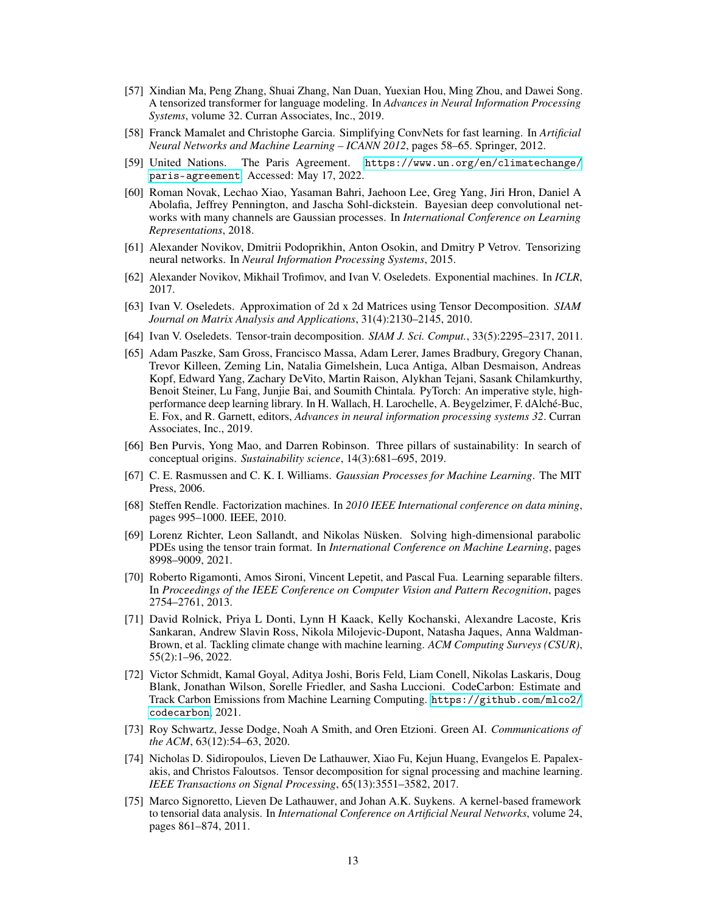- <span id="page-12-14"></span>[57] Xindian Ma, Peng Zhang, Shuai Zhang, Nan Duan, Yuexian Hou, Ming Zhou, and Dawei Song. A tensorized transformer for language modeling. In *Advances in Neural Information Processing Systems*, volume 32. Curran Associates, Inc., 2019.
- <span id="page-12-17"></span>[58] Franck Mamalet and Christophe Garcia. Simplifying ConvNets for fast learning. In *Artificial Neural Networks and Machine Learning – ICANN 2012*, pages 58–65. Springer, 2012.
- <span id="page-12-3"></span>[59] United Nations. The Paris Agreement. [https://www.un.org/en/climatechange/](https://www.un.org/en/climatechange/paris-agreement) [paris-agreement](https://www.un.org/en/climatechange/paris-agreement). Accessed: May 17, 2022.
- <span id="page-12-11"></span>[60] Roman Novak, Lechao Xiao, Yasaman Bahri, Jaehoon Lee, Greg Yang, Jiri Hron, Daniel A Abolafia, Jeffrey Pennington, and Jascha Sohl-dickstein. Bayesian deep convolutional networks with many channels are Gaussian processes. In *International Conference on Learning Representations*, 2018.
- <span id="page-12-15"></span>[61] Alexander Novikov, Dmitrii Podoprikhin, Anton Osokin, and Dmitry P Vetrov. Tensorizing neural networks. In *Neural Information Processing Systems*, 2015.
- <span id="page-12-13"></span>[62] Alexander Novikov, Mikhail Trofimov, and Ivan V. Oseledets. Exponential machines. In *ICLR*, 2017.
- <span id="page-12-8"></span>[63] Ivan V. Oseledets. Approximation of 2d x 2d Matrices using Tensor Decomposition. *SIAM Journal on Matrix Analysis and Applications*, 31(4):2130–2145, 2010.
- <span id="page-12-9"></span>[64] Ivan V. Oseledets. Tensor-train decomposition. *SIAM J. Sci. Comput.*, 33(5):2295–2317, 2011.
- <span id="page-12-16"></span>[65] Adam Paszke, Sam Gross, Francisco Massa, Adam Lerer, James Bradbury, Gregory Chanan, Trevor Killeen, Zeming Lin, Natalia Gimelshein, Luca Antiga, Alban Desmaison, Andreas Kopf, Edward Yang, Zachary DeVito, Martin Raison, Alykhan Tejani, Sasank Chilamkurthy, Benoit Steiner, Lu Fang, Junjie Bai, and Soumith Chintala. PyTorch: An imperative style, highperformance deep learning library. In H. Wallach, H. Larochelle, A. Beygelzimer, F. dAlché-Buc, E. Fox, and R. Garnett, editors, *Advances in neural information processing systems 32*. Curran Associates, Inc., 2019.
- <span id="page-12-2"></span>[66] Ben Purvis, Yong Mao, and Darren Robinson. Three pillars of sustainability: In search of conceptual origins. *Sustainability science*, 14(3):681–695, 2019.
- <span id="page-12-10"></span>[67] C. E. Rasmussen and C. K. I. Williams. *Gaussian Processes for Machine Learning*. The MIT Press, 2006.
- <span id="page-12-12"></span>[68] Steffen Rendle. Factorization machines. In *2010 IEEE International conference on data mining*, pages 995–1000. IEEE, 2010.
- <span id="page-12-1"></span>[69] Lorenz Richter, Leon Sallandt, and Nikolas Nüsken. Solving high-dimensional parabolic PDEs using the tensor train format. In *International Conference on Machine Learning*, pages 8998–9009, 2021.
- <span id="page-12-18"></span>[70] Roberto Rigamonti, Amos Sironi, Vincent Lepetit, and Pascal Fua. Learning separable filters. In *Proceedings of the IEEE Conference on Computer Vision and Pattern Recognition*, pages 2754–2761, 2013.
- <span id="page-12-4"></span>[71] David Rolnick, Priya L Donti, Lynn H Kaack, Kelly Kochanski, Alexandre Lacoste, Kris Sankaran, Andrew Slavin Ross, Nikola Milojevic-Dupont, Natasha Jaques, Anna Waldman-Brown, et al. Tackling climate change with machine learning. *ACM Computing Surveys (CSUR)*, 55(2):1–96, 2022.
- <span id="page-12-5"></span>[72] Victor Schmidt, Kamal Goyal, Aditya Joshi, Boris Feld, Liam Conell, Nikolas Laskaris, Doug Blank, Jonathan Wilson, Sorelle Friedler, and Sasha Luccioni. CodeCarbon: Estimate and Track Carbon Emissions from Machine Learning Computing. [https://github.com/mlco2/](https://github.com/mlco2/codecarbon) [codecarbon](https://github.com/mlco2/codecarbon), 2021.
- <span id="page-12-0"></span>[73] Roy Schwartz, Jesse Dodge, Noah A Smith, and Oren Etzioni. Green AI. *Communications of the ACM*, 63(12):54–63, 2020.
- <span id="page-12-6"></span>[74] Nicholas D. Sidiropoulos, Lieven De Lathauwer, Xiao Fu, Kejun Huang, Evangelos E. Papalexakis, and Christos Faloutsos. Tensor decomposition for signal processing and machine learning. *IEEE Transactions on Signal Processing*, 65(13):3551–3582, 2017.
- <span id="page-12-7"></span>[75] Marco Signoretto, Lieven De Lathauwer, and Johan A.K. Suykens. A kernel-based framework to tensorial data analysis. In *International Conference on Artificial Neural Networks*, volume 24, pages 861–874, 2011.